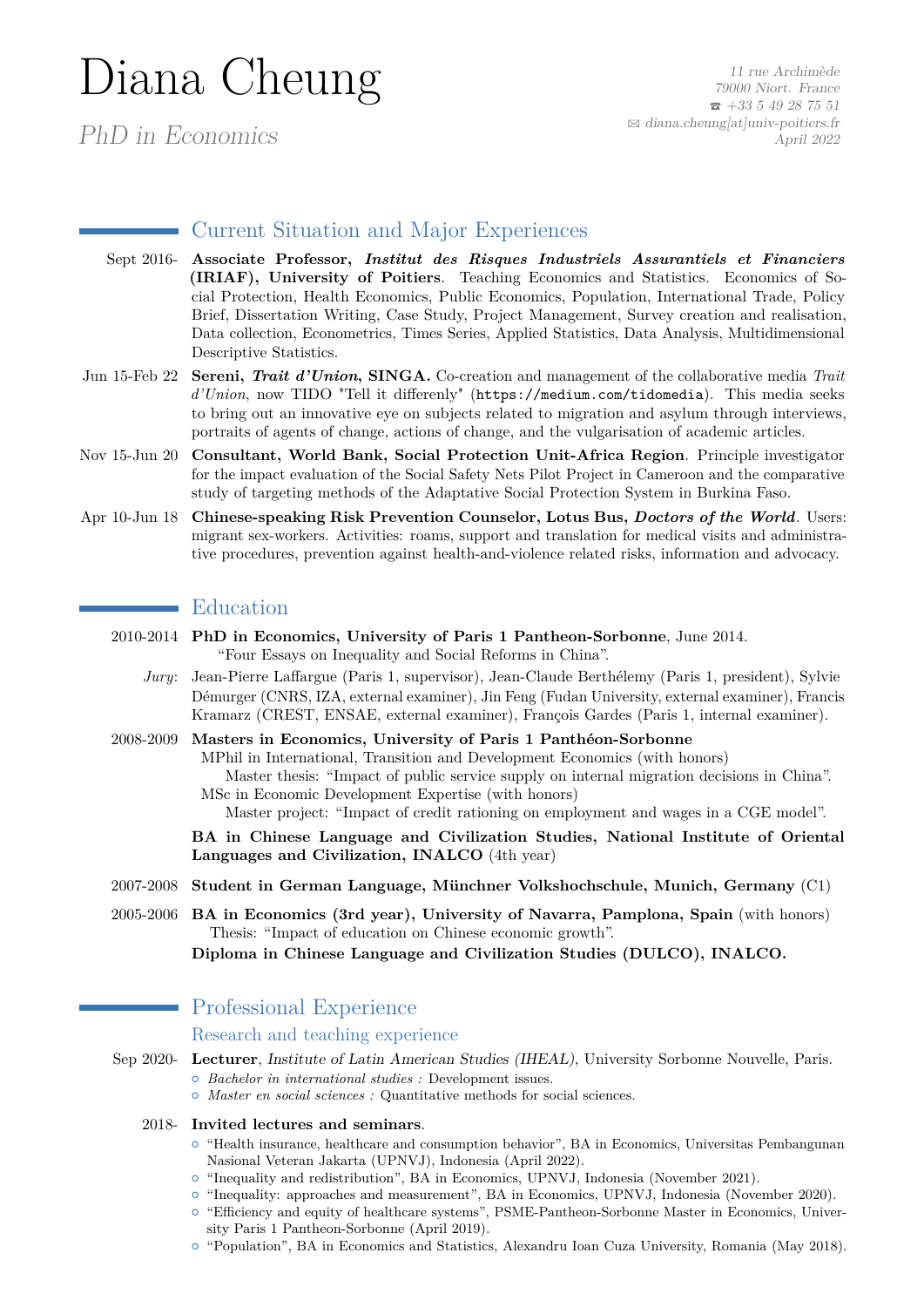# Diana Cheung

PhD in Economics

11 rue Archimède 79000 Niort. France  $\bar{5}$  +33 5 49 28 75 51  $\boxtimes$  [diana.cheung\[at\]univ-poitiers.fr](mailto:diana.cheung[at]univ-poitiers.fr) April 2022

# Current Situation and Major Experiences

- Sept 2016- **Associate Professor,** *Institut des Risques Industriels Assurantiels et Financiers* **(IRIAF), University of Poitiers**. Teaching Economics and Statistics. Economics of Social Protection, Health Economics, Public Economics, Population, International Trade, Policy Brief, Dissertation Writing, Case Study, Project Management, Survey creation and realisation, Data collection, Econometrics, Times Series, Applied Statistics, Data Analysis, Multidimensional Descriptive Statistics.
- Jun 15-Feb 22 **Sereni,** *Trait d'Union***, SINGA.** Co-creation and management of the collaborative media *Trait d'Union*, now TIDO "Tell it differenly" (<https://medium.com/tidomedia>). This media seeks to bring out an innovative eye on subjects related to migration and asylum through interviews, portraits of agents of change, actions of change, and the vulgarisation of academic articles.
- Nov 15-Jun 20 **Consultant, World Bank, Social Protection Unit-Africa Region**. Principle investigator for the impact evaluation of the Social Safety Nets Pilot Project in Cameroon and the comparative study of targeting methods of the Adaptative Social Protection System in Burkina Faso.
- Apr 10-Jun 18 **Chinese-speaking Risk Prevention Counselor, Lotus Bus,** *Doctors of the World*. Users: migrant sex-workers. Activities: roams, support and translation for medical visits and administrative procedures, prevention against health-and-violence related risks, information and advocacy.

# **Education**

- 2010-2014 **PhD in Economics, University of Paris 1 Pantheon-Sorbonne**, June 2014. "Four Essays on Inequality and Social Reforms in China".
	- *Jury*: Jean-Pierre Laffargue (Paris 1, supervisor), Jean-Claude Berthélemy (Paris 1, president), Sylvie Démurger (CNRS, IZA, external examiner), Jin Feng (Fudan University, external examiner), Francis Kramarz (CREST, ENSAE, external examiner), François Gardes (Paris 1, internal examiner).
- 2008-2009 **Masters in Economics, University of Paris 1 Panthéon-Sorbonne** MPhil in International, Transition and Development Economics (with honors) Master thesis: "Impact of public service supply on internal migration decisions in China". MSc in Economic Development Expertise (with honors) Master project: "Impact of credit rationing on employment and wages in a CGE model".

**BA in Chinese Language and Civilization Studies, National Institute of Oriental Languages and Civilization, INALCO** (4th year)

- 2007-2008 **Student in German Language, Münchner Volkshochschule, Munich, Germany** (C1)
- 2005-2006 **BA in Economics (3rd year), University of Navarra, Pamplona, Spain** (with honors) Thesis: "Impact of education on Chinese economic growth".

**Diploma in Chinese Language and Civilization Studies (DULCO), INALCO.**

# Professional Experience

## Research and teaching experience

- Sep 2020- **Lecturer**, Institute of Latin American Studies (IHEAL), University Sorbonne Nouvelle, Paris. { *Bachelor in international studies :* Development issues.
	- { *Master en social sciences :* Quantitative methods for social sciences.

## 2018- **Invited lectures and seminars**.

- $\circ$  "Health insurance, healthcare and consumption behavior", BA in Economics, Universitas Pembangunan Nasional Veteran Jakarta (UPNVJ), Indonesia (April 2022).
- $\circ$  "Inequality and redistribution", BA in Economics, UPNVJ, Indonesia (November 2021).
- $\circ$  "Inequality: approaches and measurement", BA in Economics, UPNVJ, Indonesia (November 2020). { "Efficiency and equity of healthcare systems", PSME-Pantheon-Sorbonne Master in Economics, Univer-
- sity Paris 1 Pantheon-Sorbonne (April 2019). { "Population", BA in Economics and Statistics, Alexandru Ioan Cuza University, Romania (May 2018).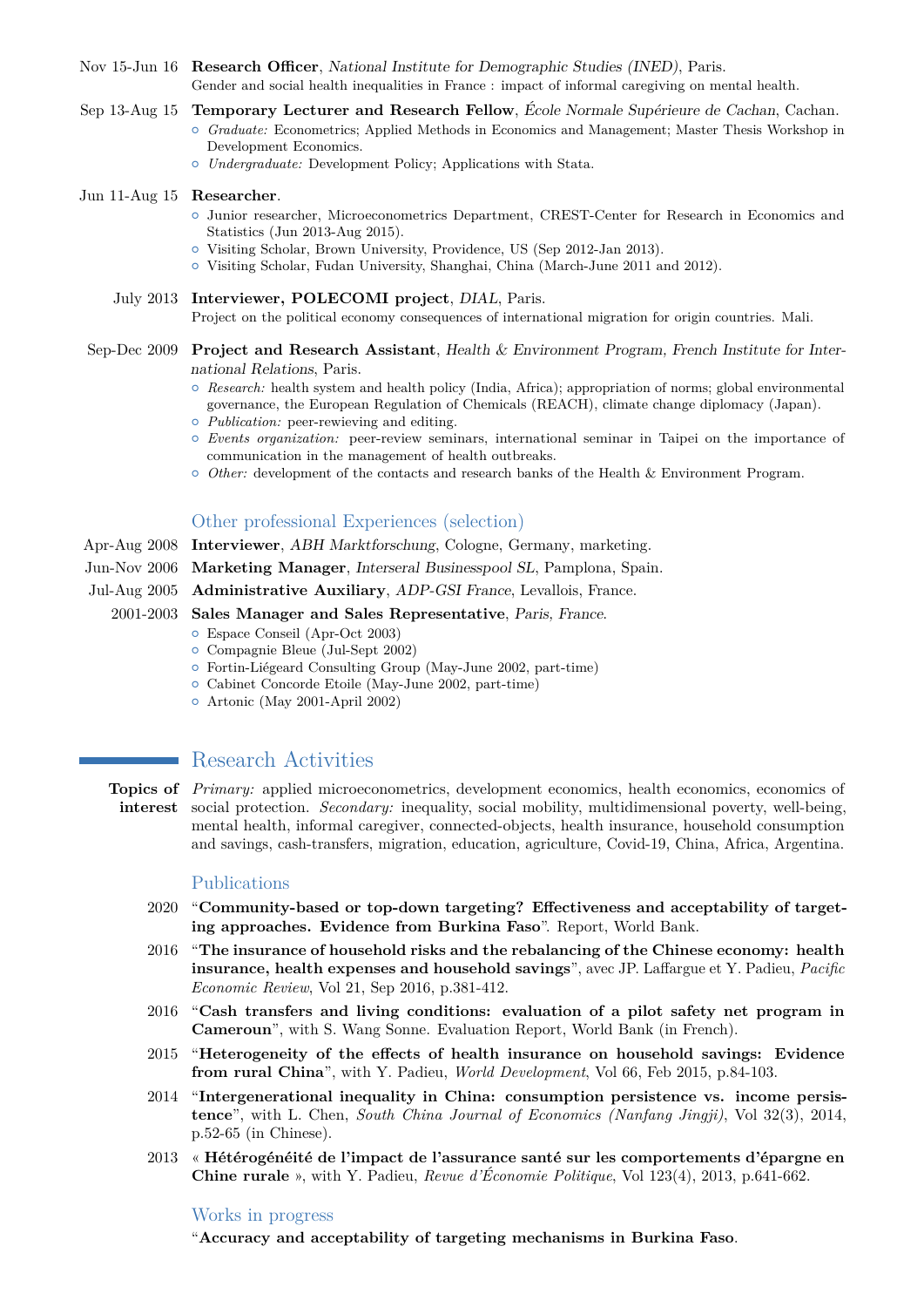- Nov 15-Jun 16 **Research Officer**, National Institute for Demographic Studies (INED), Paris. Gender and social health inequalities in France : impact of informal caregiving on mental health.
- Sep 13-Aug 15 **Temporary Lecturer and Research Fellow**, École Normale Supérieure de Cachan, Cachan. { *Graduate:* Econometrics; Applied Methods in Economics and Management; Master Thesis Workshop in
	- Development Economics.
	- { *Undergraduate:* Development Policy; Applications with Stata.

#### Jun 11-Aug 15 **Researcher**.

- { Junior researcher, Microeconometrics Department, CREST-Center for Research in Economics and Statistics (Jun 2013-Aug 2015).
- { Visiting Scholar, Brown University, Providence, US (Sep 2012-Jan 2013).
- { Visiting Scholar, Fudan University, Shanghai, China (March-June 2011 and 2012).

July 2013 **Interviewer, POLECOMI project**, DIAL, Paris. Project on the political economy consequences of international migration for origin countries. Mali.

- Sep-Dec 2009 **Project and Research Assistant**, Health & Environment Program, French Institute for International Relations, Paris.
	- { *Research:* health system and health policy (India, Africa); appropriation of norms; global environmental governance, the European Regulation of Chemicals (REACH), climate change diplomacy (Japan).
	- { *Publication:* peer-rewieving and editing.
	- { *Events organization:* peer-review seminars, international seminar in Taipei on the importance of communication in the management of health outbreaks.
	- { *Other:* development of the contacts and research banks of the Health & Environment Program.

## Other professional Experiences (selection)

Apr-Aug 2008 **Interviewer**, ABH Marktforschung, Cologne, Germany, marketing.

- Jun-Nov 2006 **Marketing Manager**, Interseral Businesspool SL, Pamplona, Spain.
- Jul-Aug 2005 **Administrative Auxiliary**, ADP-GSI France, Levallois, France.

#### 2001-2003 **Sales Manager and Sales Representative**, Paris, France.

- { Espace Conseil (Apr-Oct 2003)
- { Compagnie Bleue (Jul-Sept 2002)
- { Fortin-Liégeard Consulting Group (May-June 2002, part-time)
- { Cabinet Concorde Etoile (May-June 2002, part-time)
- { Artonic (May 2001-April 2002)

# Research Activities

**Topics of** *Primary:* applied microeconometrics, development economics, health economics, economics of **interest** social protection. *Secondary:* inequality, social mobility, multidimensional poverty, well-being, mental health, informal caregiver, connected-objects, health insurance, household consumption and savings, cash-transfers, migration, education, agriculture, Covid-19, China, Africa, Argentina.

#### Publications

- 2020 "**Community-based or top-down targeting? Effectiveness and acceptability of targeting approaches. Evidence from Burkina Faso**". Report, World Bank.
- 2016 "**The insurance of household risks and the rebalancing of the Chinese economy: health insurance, health expenses and household savings**", avec JP. Laffargue et Y. Padieu, *Pacific Economic Review*, Vol 21, Sep 2016, p.381-412.
- 2016 "**Cash transfers and living conditions: evaluation of a pilot safety net program in Cameroun**", with S. Wang Sonne. Evaluation Report, World Bank (in French).
- 2015 "**Heterogeneity of the effects of health insurance on household savings: Evidence from rural China**", with Y. Padieu, *World Development*, Vol 66, Feb 2015, p.84-103.
- 2014 "**Intergenerational inequality in China: consumption persistence vs. income persistence**", with L. Chen, *South China Journal of Economics (Nanfang Jingji)*, Vol 32(3), 2014, p.52-65 (in Chinese).
- 2013 « **Hétérogénéité de l'impact de l'assurance santé sur les comportements d'épargne en Chine rurale** », with Y. Padieu, *Revue d'Économie Politique*, Vol 123(4), 2013, p.641-662.

#### Works in progress

"**Accuracy and acceptability of targeting mechanisms in Burkina Faso**.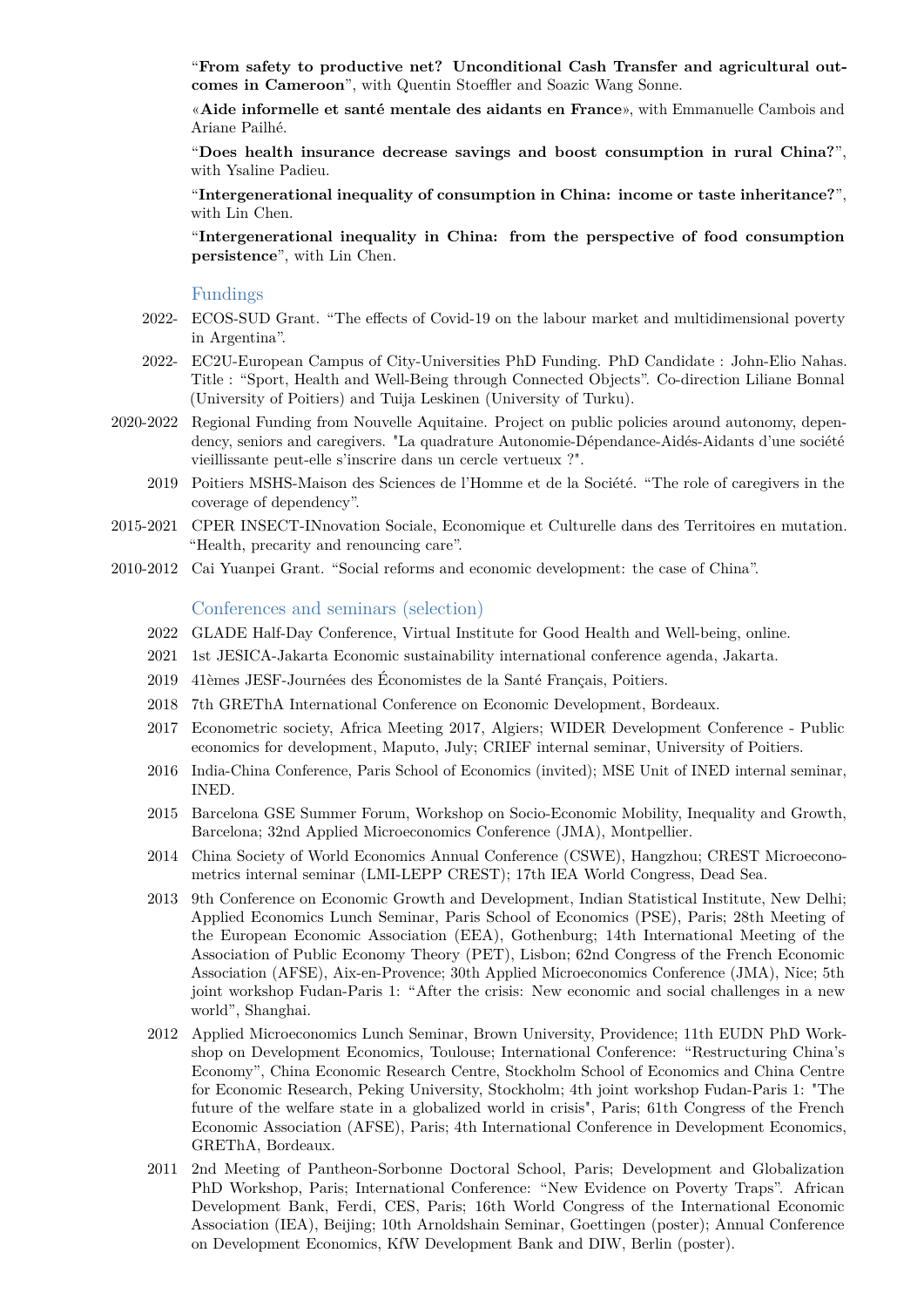"**From safety to productive net? Unconditional Cash Transfer and agricultural outcomes in Cameroon**", with Quentin Stoeffler and Soazic Wang Sonne.

«**Aide informelle et santé mentale des aidants en France**», with Emmanuelle Cambois and Ariane Pailhé.

"**Does health insurance decrease savings and boost consumption in rural China?**", with Ysaline Padieu.

"**Intergenerational inequality of consumption in China: income or taste inheritance?**", with Lin Chen.

"**Intergenerational inequality in China: from the perspective of food consumption persistence**", with Lin Chen.

## Fundings

- 2022- ECOS-SUD Grant. "The effects of Covid-19 on the labour market and multidimensional poverty in Argentina".
- 2022- EC2U-European Campus of City-Universities PhD Funding. PhD Candidate : John-Elio Nahas. Title : "Sport, Health and Well-Being through Connected Objects". Co-direction Liliane Bonnal (University of Poitiers) and Tuija Leskinen (University of Turku).
- 2020-2022 Regional Funding from Nouvelle Aquitaine. Project on public policies around autonomy, dependency, seniors and caregivers. "La quadrature Autonomie-Dépendance-Aidés-Aidants d'une société vieillissante peut-elle s'inscrire dans un cercle vertueux ?".
	- 2019 Poitiers MSHS-Maison des Sciences de l'Homme et de la Société. "The role of caregivers in the coverage of dependency".
- 2015-2021 CPER INSECT-INnovation Sociale, Economique et Culturelle dans des Territoires en mutation. "Health, precarity and renouncing care".
- 2010-2012 Cai Yuanpei Grant. "Social reforms and economic development: the case of China".

#### Conferences and seminars (selection)

- 2022 GLADE Half-Day Conference, Virtual Institute for Good Health and Well-being, online.
- 2021 1st JESICA-Jakarta Economic sustainability international conference agenda, Jakarta.
- 2019 41èmes JESF-Journées des Économistes de la Santé Français, Poitiers.
- 2018 7th GREThA International Conference on Economic Development, Bordeaux.
- 2017 Econometric society, Africa Meeting 2017, Algiers; WIDER Development Conference Public economics for development, Maputo, July; CRIEF internal seminar, University of Poitiers.
- 2016 India-China Conference, Paris School of Economics (invited); MSE Unit of INED internal seminar, INED.
- 2015 Barcelona GSE Summer Forum, Workshop on Socio-Economic Mobility, Inequality and Growth, Barcelona; 32nd Applied Microeconomics Conference (JMA), Montpellier.
- 2014 China Society of World Economics Annual Conference (CSWE), Hangzhou; CREST Microeconometrics internal seminar (LMI-LEPP CREST); 17th IEA World Congress, Dead Sea.
- 2013 9th Conference on Economic Growth and Development, Indian Statistical Institute, New Delhi; Applied Economics Lunch Seminar, Paris School of Economics (PSE), Paris; 28th Meeting of the European Economic Association (EEA), Gothenburg; 14th International Meeting of the Association of Public Economy Theory (PET), Lisbon; 62nd Congress of the French Economic Association (AFSE), Aix-en-Provence; 30th Applied Microeconomics Conference (JMA), Nice; 5th joint workshop Fudan-Paris 1: "After the crisis: New economic and social challenges in a new world", Shanghai.
- 2012 Applied Microeconomics Lunch Seminar, Brown University, Providence; 11th EUDN PhD Workshop on Development Economics, Toulouse; International Conference: "Restructuring China's Economy", China Economic Research Centre, Stockholm School of Economics and China Centre for Economic Research, Peking University, Stockholm; 4th joint workshop Fudan-Paris 1: "The future of the welfare state in a globalized world in crisis", Paris; 61th Congress of the French Economic Association (AFSE), Paris; 4th International Conference in Development Economics, GREThA, Bordeaux.
- 2011 2nd Meeting of Pantheon-Sorbonne Doctoral School, Paris; Development and Globalization PhD Workshop, Paris; International Conference: "New Evidence on Poverty Traps". African Development Bank, Ferdi, CES, Paris; 16th World Congress of the International Economic Association (IEA), Beijing; 10th Arnoldshain Seminar, Goettingen (poster); Annual Conference on Development Economics, KfW Development Bank and DIW, Berlin (poster).